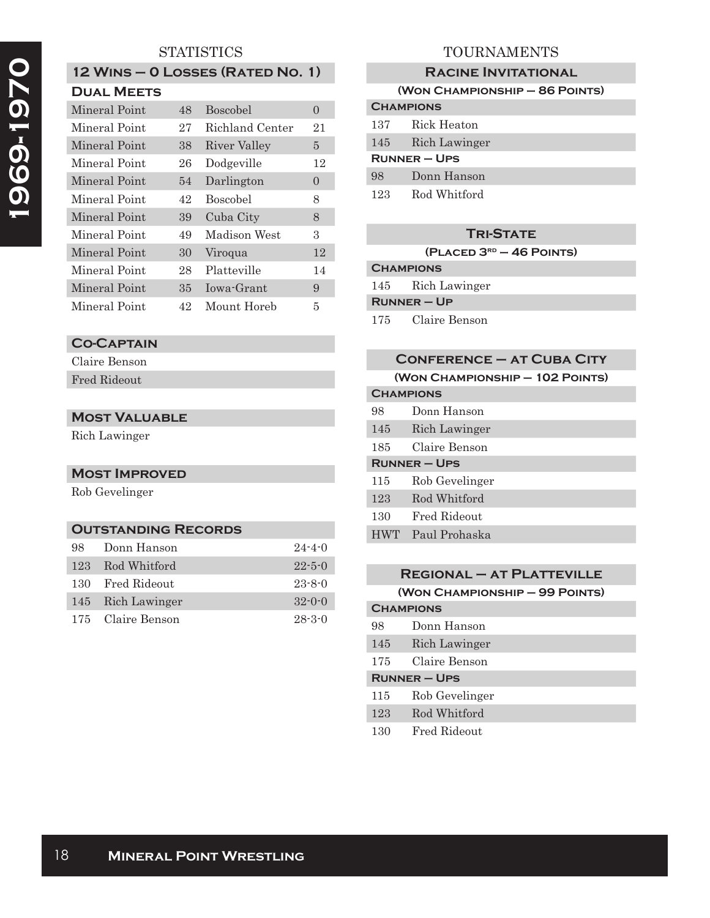# **STATISTICS**

| 12 WINS - 0 LOSSES (RATED NO. 1) |  |
|----------------------------------|--|
| <b>DUAL MEETS</b>                |  |

| Mineral Point | 48 | <b>Boscobel</b> | $\Omega$       |
|---------------|----|-----------------|----------------|
| Mineral Point | 27 | Richland Center | 21             |
| Mineral Point | 38 | River Valley    | 5              |
| Mineral Point | 26 | Dodgeville      | 12             |
| Mineral Point | 54 | Darlington      | $\overline{0}$ |
| Mineral Point | 42 | <b>Boscobel</b> | 8              |
| Mineral Point | 39 | Cuba City       | 8              |
| Mineral Point | 49 | Madison West    | 3              |
| Mineral Point | 30 | Viroqua         | 12             |
| Mineral Point | 28 | Platteville     | 14             |
| Mineral Point | 35 | Iowa-Grant      | 9              |
| Mineral Point | 42 | Mount Horeb     | 5              |
|               |    |                 |                |

## **Co-Captain**

Claire Benson

# Fred Rideout

## **Most Valuable**

Rich Lawinger

### **Most Improved**

Rob Gevelinger

### **Outstanding Records**

| 98  | Donn Hanson       | $24 - 4 - 0$ |
|-----|-------------------|--------------|
| 123 | Rod Whitford      | $22 - 5 - 0$ |
|     | 130 Fred Rideout  | $23 - 8 - 0$ |
|     | 145 Rich Lawinger | $32 - 0 - 0$ |
|     | 175 Claire Benson | $28 - 3 - 0$ |

# TOURNAMENTS

### **Racine Invitational**

|                  | (WON CHAMPIONSHIP - 86 POINTS) |
|------------------|--------------------------------|
| <b>CHAMPIONS</b> |                                |
| 137              | Rick Heaton                    |
| 145              | Rich Lawinger                  |
| $RUNNER - UPS$   |                                |
| 98               | Donn Hanson                    |
| 123              | Rod Whitford                   |

# **Tri-State**

**(Placed 3rd – 46 Points)**

| <b>CHAMPIONS</b> |               |  |
|------------------|---------------|--|
| 145              | Rich Lawinger |  |

| 工生む | nicii Lawinger |
|-----|----------------|
|     |                |

**Runner – Up**

175 Claire Benson

|                     | <b>CONFERENCE - AT CUBA CITY</b> |
|---------------------|----------------------------------|
|                     | (WON CHAMPIONSHIP - 102 POINTS)  |
| <b>CHAMPIONS</b>    |                                  |
| 98                  | Donn Hanson                      |
| 145                 | Rich Lawinger                    |
| 185.                | Claire Benson                    |
| <b>RUNNER – UPS</b> |                                  |
| 115                 | Rob Gevelinger                   |
| 123                 | Rod Whitford                     |
| 130                 | Fred Rideout                     |
| <b>HWT</b>          | Paul Prohaska                    |
|                     |                                  |

|                   | $REGIONAL - AT PLATTEVILLE$    |  |
|-------------------|--------------------------------|--|
|                   | (WON CHAMPIONSHIP - 99 POINTS) |  |
| <b>CHAMPIONS</b>  |                                |  |
| 98                | Donn Hanson                    |  |
| 145               | Rich Lawinger                  |  |
| 175               | Claire Benson                  |  |
| <b>RUNNER-UPS</b> |                                |  |
| 115               | Rob Gevelinger                 |  |
| 123               | Rod Whitford                   |  |
| 130               | Fred Rideout                   |  |